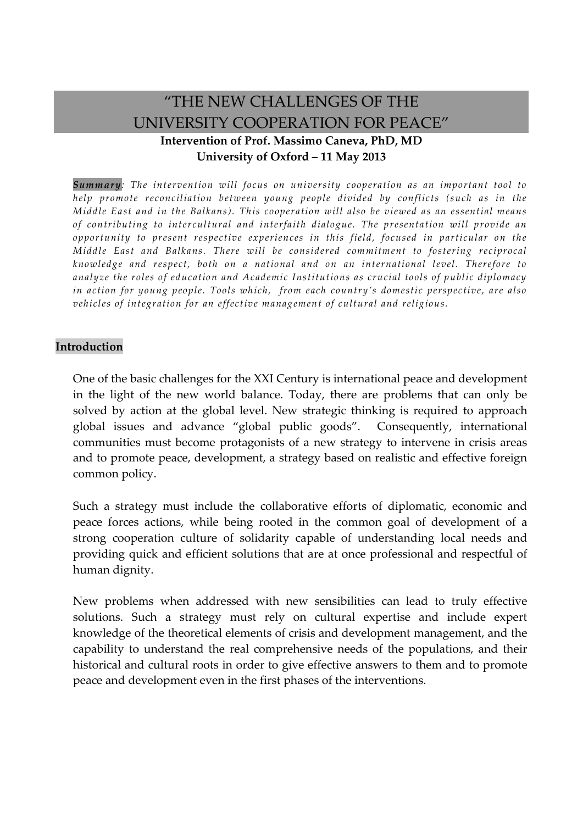## "THE NEW CHALLENGES OF THE UNIVERSITY COOPERATION FOR PEACE" **Intervention of Prof. Massimo Caneva, PhD, MD University of Oxford – 11 May 2013**

*Summary: The intervention will focus on university cooperation as an important tool to help promote reconciliation between young people divided by conflicts (such as in the Middle East and in the Balkans). This cooperation will also be viewed as an essential means of contributing to intercultural and interfaith dialogue. The presentation will provide an opportunity to present respective experiences in this field, focused in particular on the Middle East and Balkans. There will be considered commitment to fostering reciprocal knowledge and respect, both on a national and on an international level. Therefore to analyze the roles of education and Academic Institutions as crucial tools of public diplomacy in action for young people. Tools which, from each country's domestic perspective, are also vehicles of integration for an effective management of cultural and religious.* 

## **Introduction**

One of the basic challenges for the XXI Century is international peace and development in the light of the new world balance. Today, there are problems that can only be solved by action at the global level. New strategic thinking is required to approach global issues and advance "global public goods". Consequently, international communities must become protagonists of a new strategy to intervene in crisis areas and to promote peace, development, a strategy based on realistic and effective foreign common policy.

Such a strategy must include the collaborative efforts of diplomatic, economic and peace forces actions, while being rooted in the common goal of development of a strong cooperation culture of solidarity capable of understanding local needs and providing quick and efficient solutions that are at once professional and respectful of human dignity.

New problems when addressed with new sensibilities can lead to truly effective solutions. Such a strategy must rely on cultural expertise and include expert knowledge of the theoretical elements of crisis and development management, and the capability to understand the real comprehensive needs of the populations, and their historical and cultural roots in order to give effective answers to them and to promote peace and development even in the first phases of the interventions.